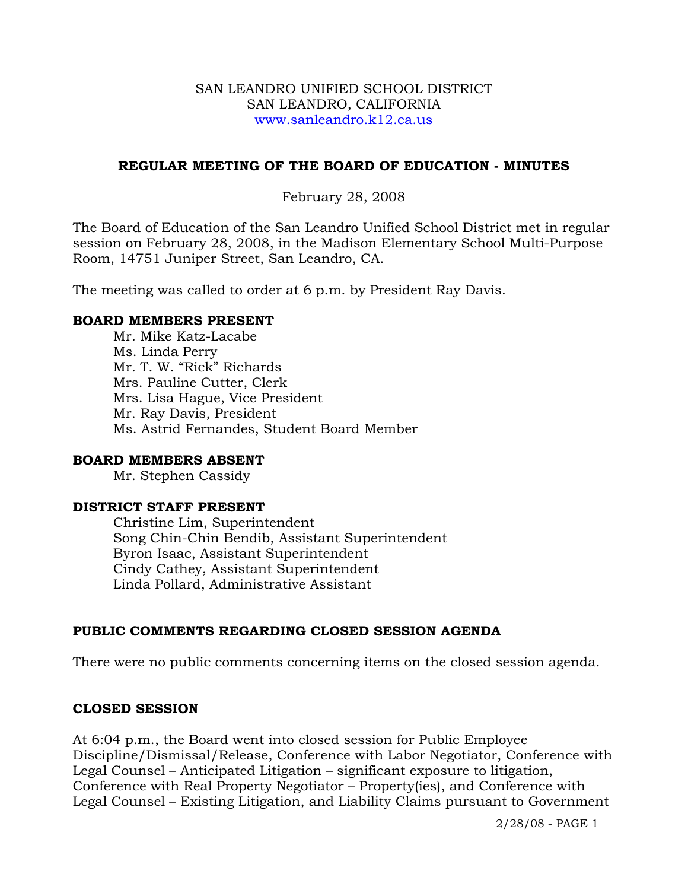#### SAN LEANDRO UNIFIED SCHOOL DISTRICT SAN LEANDRO, CALIFORNIA www.sanleandro.k12.ca.us

### **REGULAR MEETING OF THE BOARD OF EDUCATION - MINUTES**

### February 28, 2008

The Board of Education of the San Leandro Unified School District met in regular session on February 28, 2008, in the Madison Elementary School Multi-Purpose Room, 14751 Juniper Street, San Leandro, CA.

The meeting was called to order at 6 p.m. by President Ray Davis.

#### **BOARD MEMBERS PRESENT**

Mr. Mike Katz-Lacabe Ms. Linda Perry Mr. T. W. "Rick" Richards Mrs. Pauline Cutter, Clerk Mrs. Lisa Hague, Vice President Mr. Ray Davis, President Ms. Astrid Fernandes, Student Board Member

#### **BOARD MEMBERS ABSENT**

Mr. Stephen Cassidy

### **DISTRICT STAFF PRESENT**

Christine Lim, Superintendent Song Chin-Chin Bendib, Assistant Superintendent Byron Isaac, Assistant Superintendent Cindy Cathey, Assistant Superintendent Linda Pollard, Administrative Assistant

## **PUBLIC COMMENTS REGARDING CLOSED SESSION AGENDA**

There were no public comments concerning items on the closed session agenda.

#### **CLOSED SESSION**

At 6:04 p.m., the Board went into closed session for Public Employee Discipline/Dismissal/Release, Conference with Labor Negotiator, Conference with Legal Counsel – Anticipated Litigation – significant exposure to litigation, Conference with Real Property Negotiator – Property(ies), and Conference with Legal Counsel – Existing Litigation, and Liability Claims pursuant to Government

2/28/08 - PAGE 1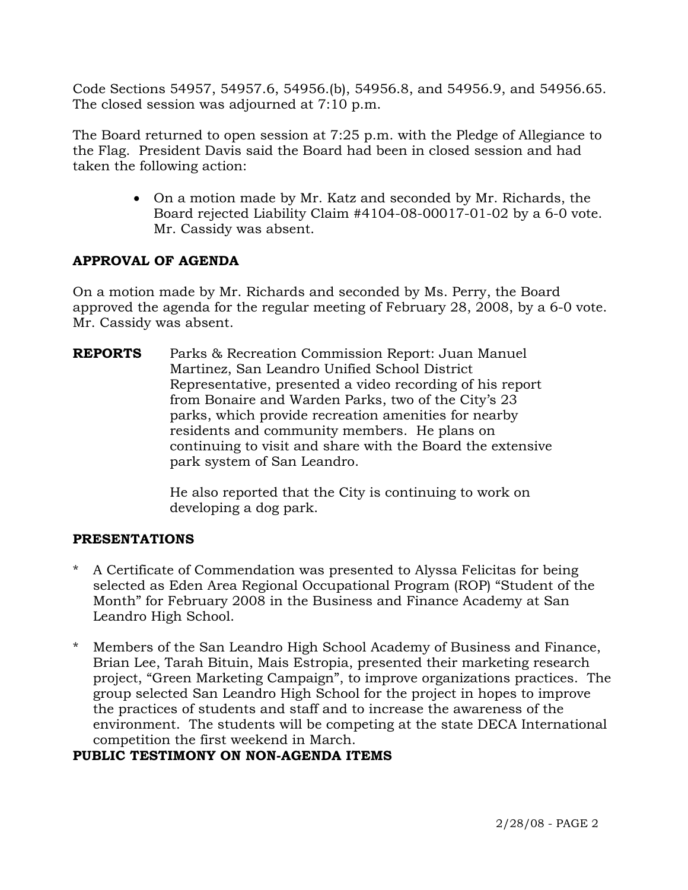Code Sections 54957, 54957.6, 54956.(b), 54956.8, and 54956.9, and 54956.65. The closed session was adjourned at 7:10 p.m.

The Board returned to open session at 7:25 p.m. with the Pledge of Allegiance to the Flag. President Davis said the Board had been in closed session and had taken the following action:

> • On a motion made by Mr. Katz and seconded by Mr. Richards, the Board rejected Liability Claim #4104-08-00017-01-02 by a 6-0 vote. Mr. Cassidy was absent.

# **APPROVAL OF AGENDA**

On a motion made by Mr. Richards and seconded by Ms. Perry, the Board approved the agenda for the regular meeting of February 28, 2008, by a 6-0 vote. Mr. Cassidy was absent.

**REPORTS** Parks & Recreation Commission Report: Juan Manuel Martinez, San Leandro Unified School District Representative, presented a video recording of his report from Bonaire and Warden Parks, two of the City's 23 parks, which provide recreation amenities for nearby residents and community members. He plans on continuing to visit and share with the Board the extensive park system of San Leandro.

> He also reported that the City is continuing to work on developing a dog park.

# **PRESENTATIONS**

- \* A Certificate of Commendation was presented to Alyssa Felicitas for being selected as Eden Area Regional Occupational Program (ROP) "Student of the Month" for February 2008 in the Business and Finance Academy at San Leandro High School.
- \* Members of the San Leandro High School Academy of Business and Finance, Brian Lee, Tarah Bituin, Mais Estropia, presented their marketing research project, "Green Marketing Campaign", to improve organizations practices. The group selected San Leandro High School for the project in hopes to improve the practices of students and staff and to increase the awareness of the environment. The students will be competing at the state DECA International competition the first weekend in March.

# **PUBLIC TESTIMONY ON NON-AGENDA ITEMS**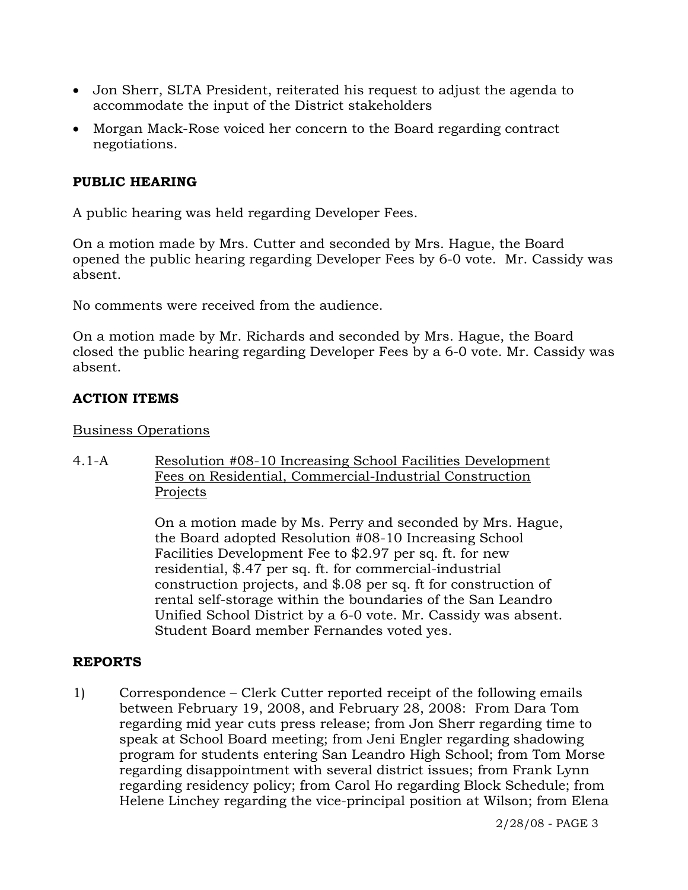- Jon Sherr, SLTA President, reiterated his request to adjust the agenda to accommodate the input of the District stakeholders
- Morgan Mack-Rose voiced her concern to the Board regarding contract negotiations.

# **PUBLIC HEARING**

A public hearing was held regarding Developer Fees.

On a motion made by Mrs. Cutter and seconded by Mrs. Hague, the Board opened the public hearing regarding Developer Fees by 6-0 vote. Mr. Cassidy was absent.

No comments were received from the audience.

On a motion made by Mr. Richards and seconded by Mrs. Hague, the Board closed the public hearing regarding Developer Fees by a 6-0 vote. Mr. Cassidy was absent.

# **ACTION ITEMS**

## Business Operations

4.1-A Resolution #08-10 Increasing School Facilities Development Fees on Residential, Commercial-Industrial Construction Projects

> On a motion made by Ms. Perry and seconded by Mrs. Hague, the Board adopted Resolution #08-10 Increasing School Facilities Development Fee to \$2.97 per sq. ft. for new residential, \$.47 per sq. ft. for commercial-industrial construction projects, and \$.08 per sq. ft for construction of rental self-storage within the boundaries of the San Leandro Unified School District by a 6-0 vote. Mr. Cassidy was absent. Student Board member Fernandes voted yes.

# **REPORTS**

1) Correspondence – Clerk Cutter reported receipt of the following emails between February 19, 2008, and February 28, 2008: From Dara Tom regarding mid year cuts press release; from Jon Sherr regarding time to speak at School Board meeting; from Jeni Engler regarding shadowing program for students entering San Leandro High School; from Tom Morse regarding disappointment with several district issues; from Frank Lynn regarding residency policy; from Carol Ho regarding Block Schedule; from Helene Linchey regarding the vice-principal position at Wilson; from Elena

2/28/08 - PAGE 3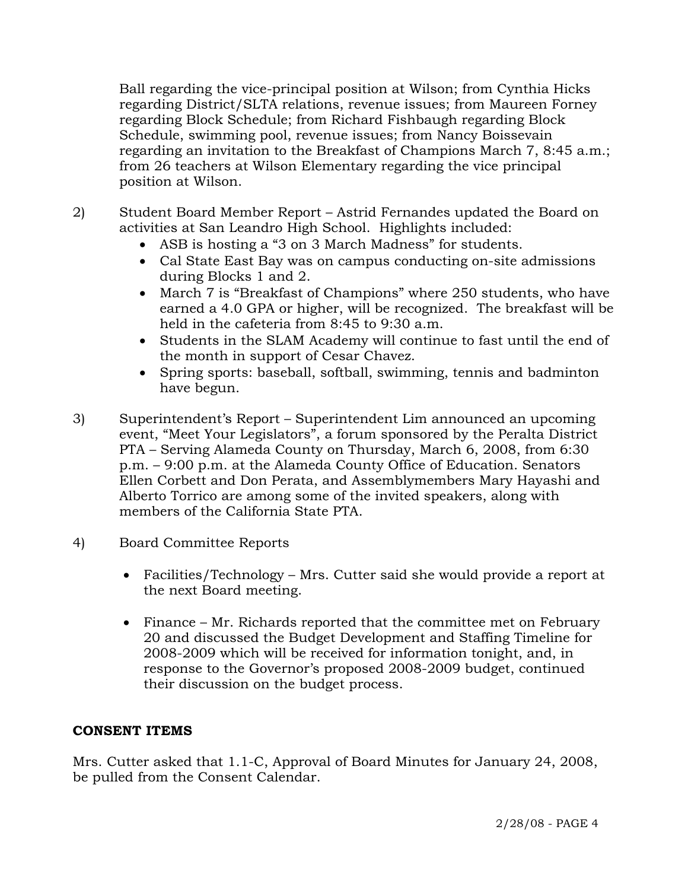Ball regarding the vice-principal position at Wilson; from Cynthia Hicks regarding District/SLTA relations, revenue issues; from Maureen Forney regarding Block Schedule; from Richard Fishbaugh regarding Block Schedule, swimming pool, revenue issues; from Nancy Boissevain regarding an invitation to the Breakfast of Champions March 7, 8:45 a.m.; from 26 teachers at Wilson Elementary regarding the vice principal position at Wilson.

- 2) Student Board Member Report Astrid Fernandes updated the Board on activities at San Leandro High School. Highlights included:
	- ASB is hosting a "3 on 3 March Madness" for students.
	- Cal State East Bay was on campus conducting on-site admissions during Blocks 1 and 2.
	- March 7 is "Breakfast of Champions" where 250 students, who have earned a 4.0 GPA or higher, will be recognized. The breakfast will be held in the cafeteria from 8:45 to 9:30 a.m.
	- Students in the SLAM Academy will continue to fast until the end of the month in support of Cesar Chavez.
	- Spring sports: baseball, softball, swimming, tennis and badminton have begun.
- 3) Superintendent's Report Superintendent Lim announced an upcoming event, "Meet Your Legislators", a forum sponsored by the Peralta District PTA – Serving Alameda County on Thursday, March 6, 2008, from 6:30 p.m. – 9:00 p.m. at the Alameda County Office of Education. Senators Ellen Corbett and Don Perata, and Assemblymembers Mary Hayashi and Alberto Torrico are among some of the invited speakers, along with members of the California State PTA.
- 4) Board Committee Reports
	- Facilities/Technology Mrs. Cutter said she would provide a report at the next Board meeting.
	- Finance Mr. Richards reported that the committee met on February 20 and discussed the Budget Development and Staffing Timeline for 2008-2009 which will be received for information tonight, and, in response to the Governor's proposed 2008-2009 budget, continued their discussion on the budget process.

# **CONSENT ITEMS**

Mrs. Cutter asked that 1.1-C, Approval of Board Minutes for January 24, 2008, be pulled from the Consent Calendar.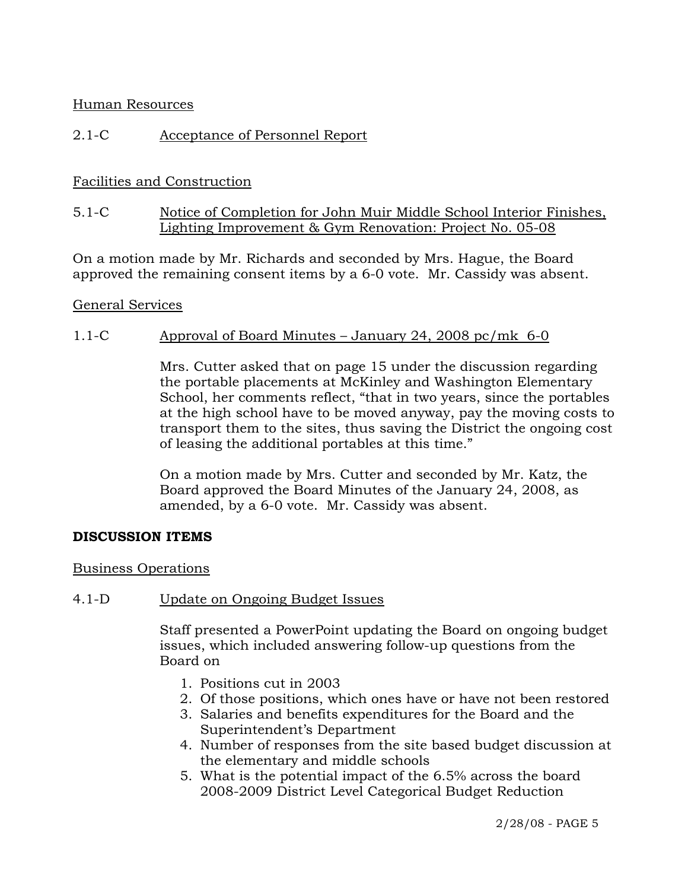### Human Resources

## 2.1-C Acceptance of Personnel Report

## Facilities and Construction

## 5.1-C Notice of Completion for John Muir Middle School Interior Finishes, Lighting Improvement & Gym Renovation: Project No. 05-08

On a motion made by Mr. Richards and seconded by Mrs. Hague, the Board approved the remaining consent items by a 6-0 vote. Mr. Cassidy was absent.

#### General Services

### 1.1-C Approval of Board Minutes – January 24, 2008 pc/mk 6-0

Mrs. Cutter asked that on page 15 under the discussion regarding the portable placements at McKinley and Washington Elementary School, her comments reflect, "that in two years, since the portables at the high school have to be moved anyway, pay the moving costs to transport them to the sites, thus saving the District the ongoing cost of leasing the additional portables at this time."

On a motion made by Mrs. Cutter and seconded by Mr. Katz, the Board approved the Board Minutes of the January 24, 2008, as amended, by a 6-0 vote. Mr. Cassidy was absent.

#### **DISCUSSION ITEMS**

#### Business Operations

#### 4.1-D Update on Ongoing Budget Issues

Staff presented a PowerPoint updating the Board on ongoing budget issues, which included answering follow-up questions from the Board on

- 1. Positions cut in 2003
- 2. Of those positions, which ones have or have not been restored
- 3. Salaries and benefits expenditures for the Board and the Superintendent's Department
- 4. Number of responses from the site based budget discussion at the elementary and middle schools
- 5. What is the potential impact of the 6.5% across the board 2008-2009 District Level Categorical Budget Reduction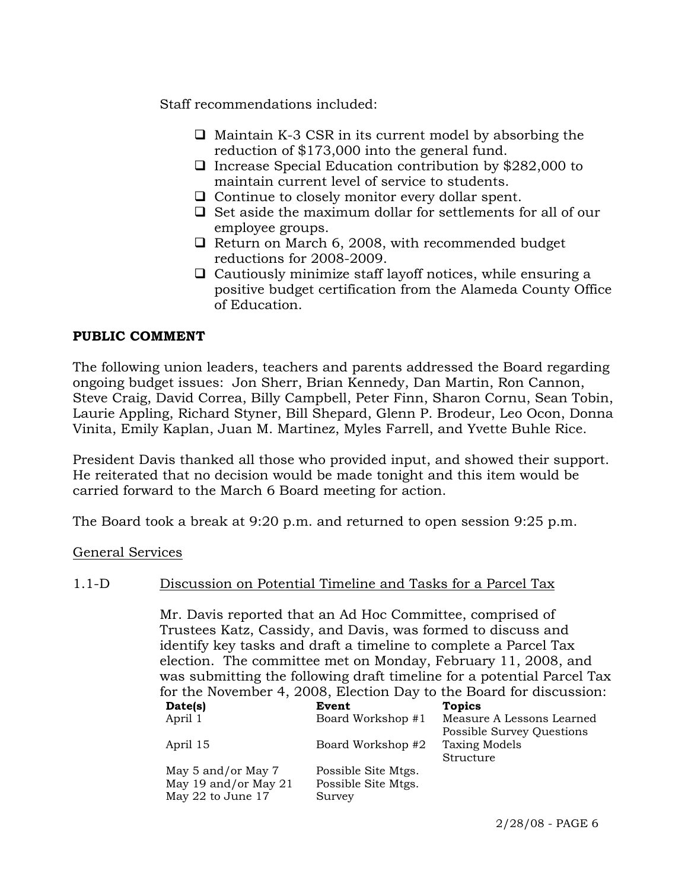Staff recommendations included:

- $\Box$  Maintain K-3 CSR in its current model by absorbing the reduction of \$173,000 into the general fund.
- $\Box$  Increase Special Education contribution by \$282,000 to maintain current level of service to students.
- $\Box$  Continue to closely monitor every dollar spent.
- $\Box$  Set aside the maximum dollar for settlements for all of our employee groups.
- $\Box$  Return on March 6, 2008, with recommended budget reductions for 2008-2009.
- $\Box$  Cautiously minimize staff layoff notices, while ensuring a positive budget certification from the Alameda County Office of Education.

## **PUBLIC COMMENT**

The following union leaders, teachers and parents addressed the Board regarding ongoing budget issues: Jon Sherr, Brian Kennedy, Dan Martin, Ron Cannon, Steve Craig, David Correa, Billy Campbell, Peter Finn, Sharon Cornu, Sean Tobin, Laurie Appling, Richard Styner, Bill Shepard, Glenn P. Brodeur, Leo Ocon, Donna Vinita, Emily Kaplan, Juan M. Martinez, Myles Farrell, and Yvette Buhle Rice.

President Davis thanked all those who provided input, and showed their support. He reiterated that no decision would be made tonight and this item would be carried forward to the March 6 Board meeting for action.

The Board took a break at 9:20 p.m. and returned to open session 9:25 p.m.

General Services

## 1.1-D Discussion on Potential Timeline and Tasks for a Parcel Tax

Mr. Davis reported that an Ad Hoc Committee, comprised of Trustees Katz, Cassidy, and Davis, was formed to discuss and identify key tasks and draft a timeline to complete a Parcel Tax election. The committee met on Monday, February 11, 2008, and was submitting the following draft timeline for a potential Parcel Tax for the November 4, 2008, Election Day to the Board for discussion:

| Date(s)              | Event               | <b>Topics</b>             |
|----------------------|---------------------|---------------------------|
| April 1              | Board Workshop #1   | Measure A Lessons Learned |
|                      |                     | Possible Survey Questions |
| April 15             | Board Workshop #2   | <b>Taxing Models</b>      |
|                      |                     | Structure                 |
| May 5 and/or May 7   | Possible Site Mtgs. |                           |
| May 19 and/or May 21 | Possible Site Mtgs. |                           |
| May 22 to June 17    | Survey              |                           |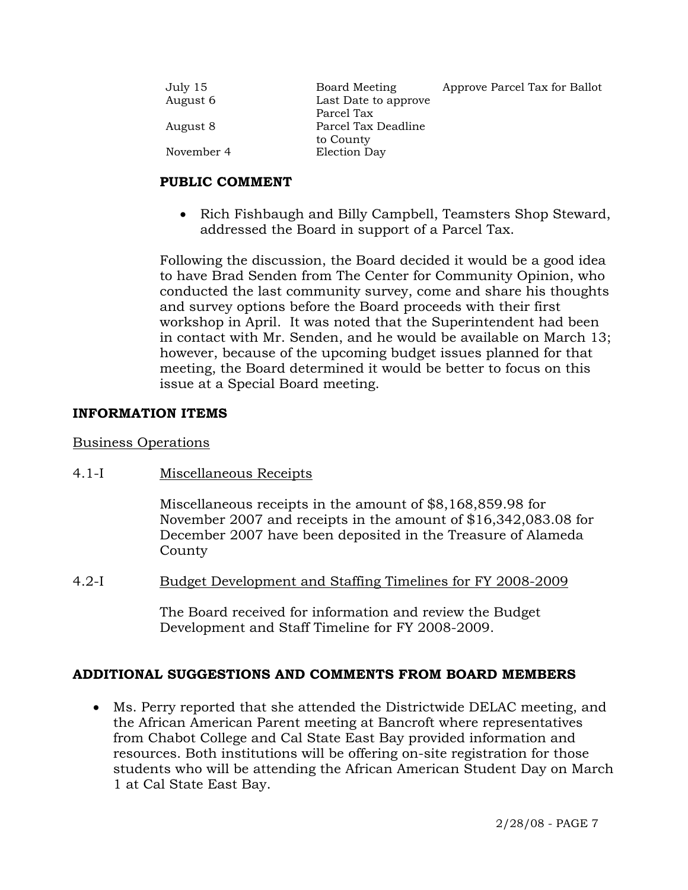| July 15    | Board Meeting        | Approve Parcel Tax for Ballot |
|------------|----------------------|-------------------------------|
| August 6   | Last Date to approve |                               |
|            | Parcel Tax           |                               |
| August 8   | Parcel Tax Deadline  |                               |
|            | to County            |                               |
| November 4 | Election Day         |                               |

## **PUBLIC COMMENT**

• Rich Fishbaugh and Billy Campbell, Teamsters Shop Steward, addressed the Board in support of a Parcel Tax.

Following the discussion, the Board decided it would be a good idea to have Brad Senden from The Center for Community Opinion, who conducted the last community survey, come and share his thoughts and survey options before the Board proceeds with their first workshop in April. It was noted that the Superintendent had been in contact with Mr. Senden, and he would be available on March 13; however, because of the upcoming budget issues planned for that meeting, the Board determined it would be better to focus on this issue at a Special Board meeting.

## **INFORMATION ITEMS**

## Business Operations

4.1-I Miscellaneous Receipts

Miscellaneous receipts in the amount of \$8,168,859.98 for November 2007 and receipts in the amount of \$16,342,083.08 for December 2007 have been deposited in the Treasure of Alameda County

4.2-I Budget Development and Staffing Timelines for FY 2008-2009

The Board received for information and review the Budget Development and Staff Timeline for FY 2008-2009.

# **ADDITIONAL SUGGESTIONS AND COMMENTS FROM BOARD MEMBERS**

• Ms. Perry reported that she attended the Districtwide DELAC meeting, and the African American Parent meeting at Bancroft where representatives from Chabot College and Cal State East Bay provided information and resources. Both institutions will be offering on-site registration for those students who will be attending the African American Student Day on March 1 at Cal State East Bay.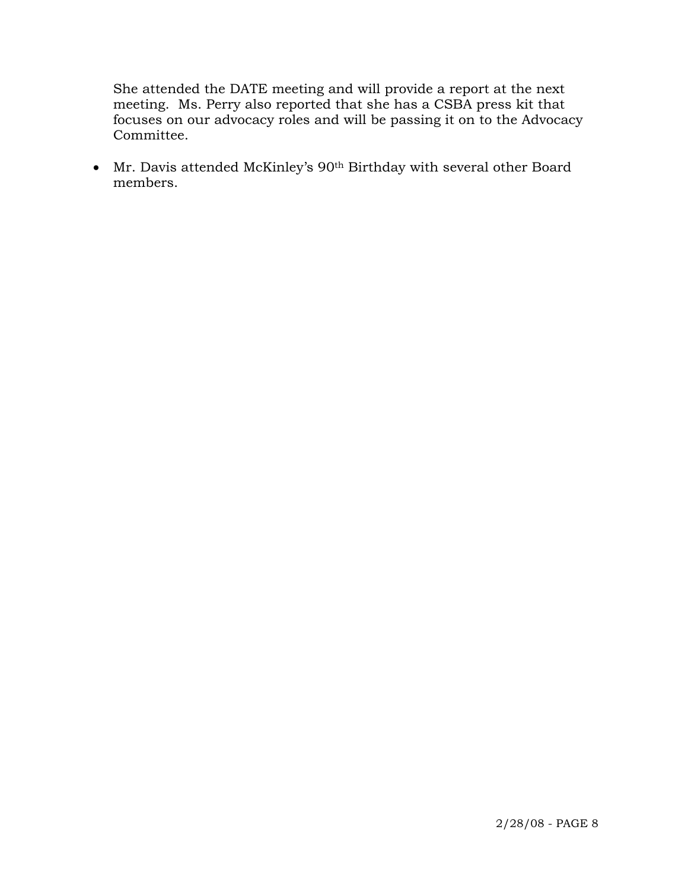She attended the DATE meeting and will provide a report at the next meeting. Ms. Perry also reported that she has a CSBA press kit that focuses on our advocacy roles and will be passing it on to the Advocacy Committee.

• Mr. Davis attended McKinley's 90th Birthday with several other Board members.